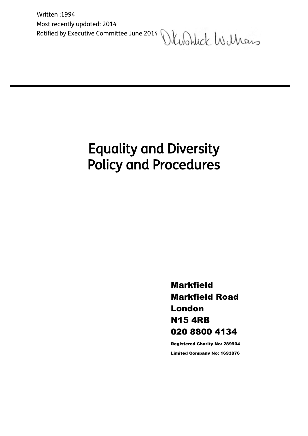Written :1994 Most recently updated: 2014 Ratified by Executive Committee June 2014 Washlick Wilhous

# Equality and Diversity Policy and Procedures

l

Markfield Markfield Road London N15 4RB 020 8800 4134

Registered Charity No: 289904 Limited Company No: 1693876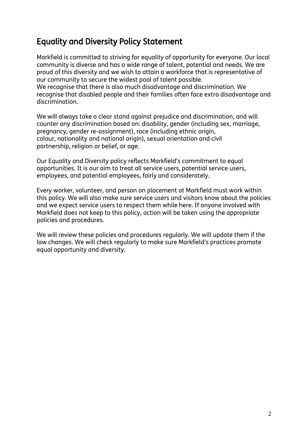# Equality and Diversity Policy Statement

Markfield is committed to striving for equality of opportunity for everyone. Our local community is diverse and has a wide range of talent, potential and needs. We are proud of this diversity and we wish to attain a workforce that is representative of our community to secure the widest pool of talent possible. We recognise that there is also much disadvantage and discrimination. We recognise that disabled people and their families often face extra disadvantage and discrimination.

We will always take a clear stand against prejudice and discrimination, and will counter any discrimination based on: disability, gender (including sex, marriage, pregnancy, gender re-assignment), race (including ethnic origin, colour, nationality and national origin), sexual orientation and civil partnership, religion or belief, or age.

Our Equality and Diversity policy reflects Markfield's commitment to equal opportunities. It is our aim to treat all service users, potential service users, employees, and potential employees, fairly and considerately.

Every worker, volunteer, and person on placement at Markfield must work within this policy. We will also make sure service users and visitors know about the policies and we expect service users to respect them while here. If anyone involved with Markfield does not keep to this policy, action will be taken using the appropriate policies and procedures.

We will review these policies and procedures regularly. We will update them if the law changes. We will check regularly to make sure Markfield's practices promote equal opportunity and diversity.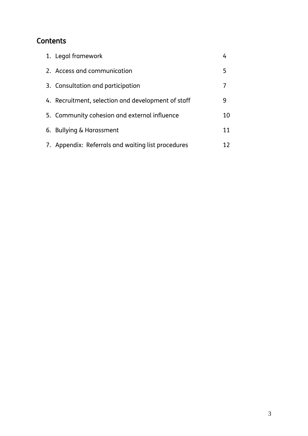# **Contents**

| 1. Legal framework                                 |    |
|----------------------------------------------------|----|
| 2. Access and communication                        | 5  |
| 3. Consultation and participation                  |    |
| 4. Recruitment, selection and development of staff | 9  |
| 5. Community cohesion and external influence       | 10 |
| 6. Bullying & Harassment                           | 11 |
| 7. Appendix: Referrals and waiting list procedures | 12 |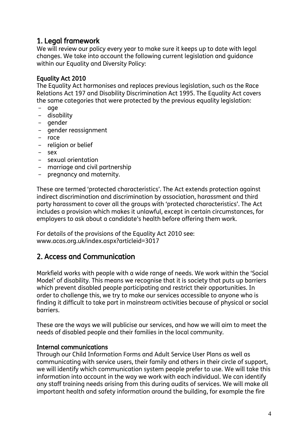# 1. Legal framework

We will review our policy every year to make sure it keeps up to date with legal changes. We take into account the following current legislation and guidance within our Equality and Diversity Policy:

#### Equality Act 2010

The Equality Act harmonises and replaces previous legislation, such as the Race Relations Act 197 and Disability Discrimination Act 1995. The Equality Act covers the same categories that were protected by the previous equality legislation:

- age
- disability
- gender
- gender reassignment
- race
- religion or belief
- sex
- sexual orientation
- marriage and civil partnership
- pregnancy and maternity.

These are termed 'protected characteristics'. The Act extends protection against indirect discrimination and discrimination by association, harassment and third party harassment to cover all the groups with 'protected characteristics'. The Act includes a provision which makes it unlawful, except in certain circumstances, for employers to ask about a candidate's health before offering them work.

For details of the provisions of the Equality Act 2010 see: www.acas.org.uk/index.aspx?articleid=3017

## 2. Access and Communication

Markfield works with people with a wide range of needs. We work within the 'Social Model' of disability. This means we recognise that it is society that puts up barriers which prevent disabled people participating and restrict their opportunities. In order to challenge this, we try to make our services accessible to anyone who is finding it difficult to take part in mainstream activities because of physical or social **barriers** 

These are the ways we will publicise our services, and how we will aim to meet the needs of disabled people and their families in the local community.

#### Internal communications

Through our Child Information Forms and Adult Service User Plans as well as communicating with service users, their family and others in their circle of support, we will identify which communication system people prefer to use. We will take this information into account in the way we work with each individual. We can identify any staff training needs arising from this during audits of services. We will make all important health and safety information around the building, for example the fire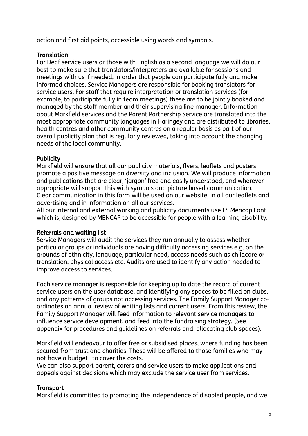action and first aid points, accessible using words and symbols.

#### **Translation**

For Deaf service users or those with English as a second language we will do our best to make sure that translators/interpreters are available for sessions and meetings with us if needed, in order that people can participate fully and make informed choices. Service Managers are responsible for booking translators for service users. For staff that require interpretation or translation services (for example, to participate fully in team meetings) these are to be jointly booked and managed by the staff member and their supervising line manager. Information about Markfield services and the Parent Partnership Service are translated into the most appropriate community languages in Haringey and are distributed to libraries, health centres and other community centres on a regular basis as part of our overall publicity plan that is regularly reviewed, taking into account the changing needs of the local community.

#### **Publicity**

Markfield will ensure that all our publicity materials, flyers, leaflets and posters promote a positive message on diversity and inclusion. We will produce information and publications that are clear, 'jargon' free and easily understood, and wherever appropriate will support this with symbols and picture based communication. Clear communication in this form will be used on our website, in all our leaflets and advertising and in information on all our services.

All our internal and external working and publicity documents use FS Mencap Font which is, designed by MENCAP to be accessible for people with a learning disability.

#### Referrals and waiting list

Service Managers will audit the services they run annually to assess whether particular groups or individuals are having difficulty accessing services e.g. on the grounds of ethnicity, language, particular need, access needs such as childcare or translation, physical access etc. Audits are used to identify any action needed to improve access to services.

Each service manager is responsible for keeping up to date the record of current service users on the user database, and identifying any spaces to be filled on clubs, and any patterns of groups not accessing services. The Family Support Manager coordinates an annual review of waiting lists and current users. From this review, the Family Support Manager will feed information to relevant service managers to influence service development, and feed into the fundraising strategy. (See appendix for procedures and guidelines on referrals and allocating club spaces).

Markfield will endeavour to offer free or subsidised places, where funding has been secured from trust and charities. These will be offered to those families who may not have a budget to cover the costs.

We can also support parent, carers and service users to make applications and appeals against decisions which may exclude the service user from services.

#### **Transport**

Markfield is committed to promoting the independence of disabled people, and we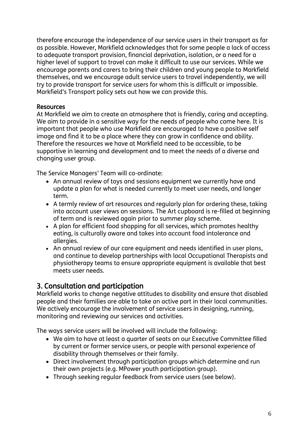therefore encourage the independence of our service users in their transport as far as possible. However, Markfield acknowledges that for some people a lack of access to adequate transport provision, financial deprivation, isolation, or a need for a higher level of support to travel can make it difficult to use our services. While we encourage parents and carers to bring their children and young people to Markfield themselves, and we encourage adult service users to travel independently, we will try to provide transport for service users for whom this is difficult or impossible. Markfield's Transport policy sets out how we can provide this.

#### Resources

At Markfield we aim to create an atmosphere that is friendly, caring and accepting. We aim to provide in a sensitive way for the needs of people who come here. It is important that people who use Markfield are encouraged to have a positive self image and find it to be a place where they can grow in confidence and ability. Therefore the resources we have at Markfield need to be accessible, to be supportive in learning and development and to meet the needs of a diverse and changing user group.

The Service Managers' Team will co-ordinate:

- An annual review of toys and sessions equipment we currently have and update a plan for what is needed currently to meet user needs, and longer term.
- A termly review of art resources and regularly plan for ordering these, taking into account user views on sessions. The Art cupboard is re-filled at beginning of term and is reviewed again prior to summer play scheme.
- A plan for efficient food shopping for all services, which promotes healthy eating, is culturally aware and takes into account food intolerance and allergies.
- An annual review of our care equipment and needs identified in user plans, and continue to develop partnerships with local Occupational Therapists and physiotherapy teams to ensure appropriate equipment is available that best meets user needs.

## 3. Consultation and participation

Markfield works to change negative attitudes to disability and ensure that disabled people and their families are able to take an active part in their local communities. We actively encourage the involvement of service users in designing, running, monitoring and reviewing our services and activities.

The ways service users will be involved will include the following:

- We aim to have at least a quarter of seats on our Executive Committee filled by current or former service users, or people with personal experience of disability through themselves or their family.
- Direct involvement through participation groups which determine and run their own projects (e.g. MPower youth participation group).
- Through seeking regular feedback from service users (see below).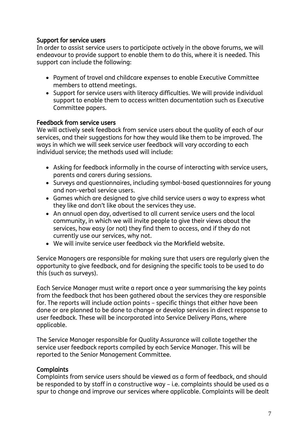#### Support for service users

In order to assist service users to participate actively in the above forums, we will endeavour to provide support to enable them to do this, where it is needed. This support can include the following:

- Payment of travel and childcare expenses to enable Executive Committee members to attend meetings.
- Support for service users with literacy difficulties. We will provide individual support to enable them to access written documentation such as Executive Committee papers.

#### Feedback from service users

We will actively seek feedback from service users about the quality of each of our services, and their suggestions for how they would like them to be improved. The ways in which we will seek service user feedback will vary according to each individual service; the methods used will include:

- Asking for feedback informally in the course of interacting with service users, parents and carers during sessions.
- Surveys and questionnaires, including symbol-based questionnaires for young and non-verbal service users.
- Games which are designed to give child service users a way to express what they like and don't like about the services they use.
- An annual open day, advertised to all current service users and the local community, in which we will invite people to give their views about the services, how easy (or not) they find them to access, and if they do not currently use our services, why not.
- We will invite service user feedback via the Markfield website.

Service Managers are responsible for making sure that users are regularly given the opportunity to give feedback, and for designing the specific tools to be used to do this (such as surveys).

Each Service Manager must write a report once a year summarising the key points from the feedback that has been gathered about the services they are responsible for. The reports will include action points – specific things that either have been done or are planned to be done to change or develop services in direct response to user feedback. These will be incorporated into Service Delivery Plans, where applicable.

The Service Manager responsible for Quality Assurance will collate together the service user feedback reports compiled by each Service Manager. This will be reported to the Senior Management Committee.

#### **Complaints**

Complaints from service users should be viewed as a form of feedback, and should be responded to by staff in a constructive way – i.e. complaints should be used as a spur to change and improve our services where applicable. Complaints will be dealt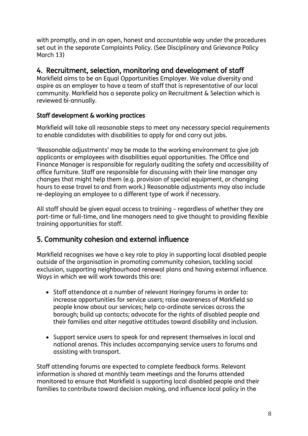with promptly, and in an open, honest and accountable way under the procedures set out in the separate Complaints Policy. (See Disciplinary and Grievance Policy March 13)

## 4. Recruitment, selection, monitoring and development of staff

Markfield aims to be an Equal Opportunities Employer. We value diversity and aspire as an employer to have a team of staff that is representative of our local community. Markfield has a separate policy on Recruitment & Selection which is reviewed bi-annually.

#### Staff development & working practices

Markfield will take all reasonable steps to meet any necessary special requirements to enable candidates with disabilities to apply for and carry out jobs.

'Reasonable adjustments' may be made to the working environment to give job applicants or employees with disabilities equal opportunities. The Office and Finance Manager is responsible for regularly auditing the safety and accessibility of office furniture. Staff are responsible for discussing with their line manager any changes that might help them (e.g. provision of special equipment, or changing hours to ease travel to and from work.) Reasonable adjustments may also include re-deploying an employee to a different type of work if necessary.

All staff should be given equal access to training – regardless of whether they are part-time or full-time, and line managers need to give thought to providing flexible training opportunities for staff.

# 5. Community cohesion and external influence

Markfield recognises we have a key role to play in supporting local disabled people outside of the organisation in promoting community cohesion, tackling social exclusion, supporting neighbourhood renewal plans and having external influence. Ways in which we will work towards this are:

- Staff attendance at a number of relevant Haringey forums in order to: increase opportunities for service users; raise awareness of Markfield so people know about our services; help co-ordinate services across the borough; build up contacts; advocate for the rights of disabled people and their families and alter negative attitudes toward disability and inclusion.
- Support service users to speak for and represent themselves in local and national arenas. This includes accompanying service users to forums and assisting with transport.

Staff attending forums are expected to complete feedback forms. Relevant information is shared at monthly team meetings and the forums attended monitored to ensure that Markfield is supporting local disabled people and their families to contribute toward decision making, and influence local policy in the